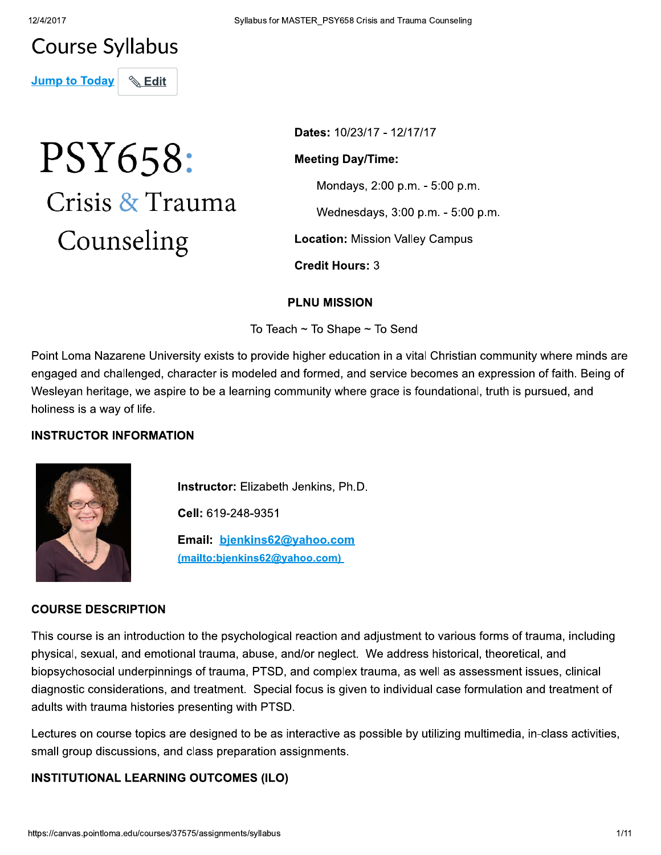# **Course Syllabus**

**Jump to Today** 

# PSY658: Crisis & Trauma Counseling

**Edit** 

Dates: 10/23/17 - 12/17/17

**Meeting Day/Time:** 

Mondays, 2:00 p.m. - 5:00 p.m.

Wednesdays, 3:00 p.m. - 5:00 p.m.

**Location: Mission Valley Campus** 

**Credit Hours: 3** 

#### **PLNU MISSION**

To Teach ~ To Shape ~ To Send

Point Loma Nazarene University exists to provide higher education in a vital Christian community where minds are engaged and challenged, character is modeled and formed, and service becomes an expression of faith. Being of Wesleyan heritage, we aspire to be a learning community where grace is foundational, truth is pursued, and holiness is a way of life.

# **INSTRUCTOR INFORMATION**



Instructor: Elizabeth Jenkins, Ph.D.

Cell: 619-248-9351

Email: bjenkins62@yahoo.com (mailto:bjenkins62@yahoo.com)

#### **COURSE DESCRIPTION**

This course is an introduction to the psychological reaction and adjustment to various forms of trauma, including physical, sexual, and emotional trauma, abuse, and/or neglect. We address historical, theoretical, and biopsychosocial underpinnings of trauma, PTSD, and complex trauma, as well as assessment issues, clinical diagnostic considerations, and treatment. Special focus is given to individual case formulation and treatment of adults with trauma histories presenting with PTSD.

Lectures on course topics are designed to be as interactive as possible by utilizing multimedia, in-class activities, small group discussions, and class preparation assignments.

# **INSTITUTIONAL LEARNING OUTCOMES (ILO)**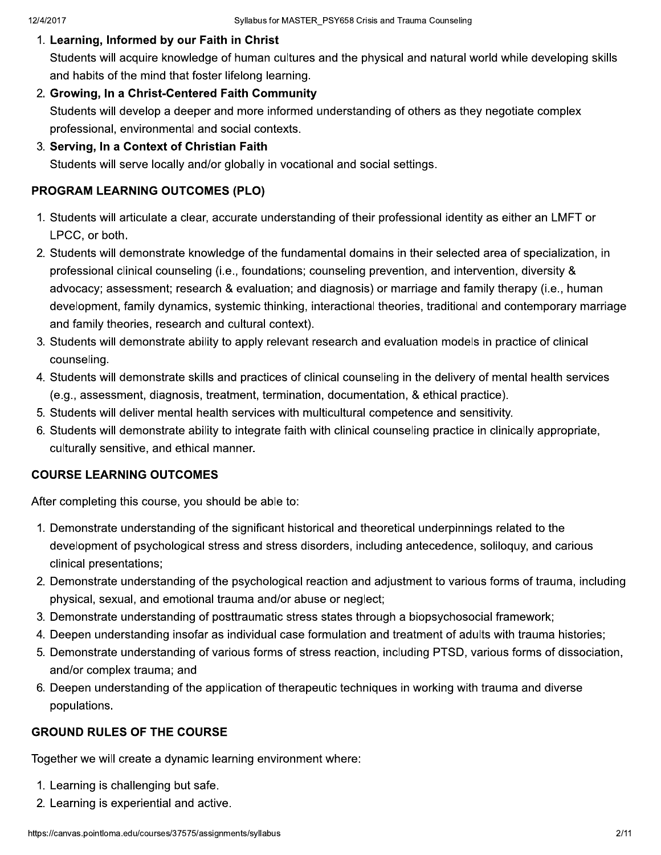#### 1. Learning, Informed by our Faith in Christ

Students will acquire knowledge of human cultures and the physical and natural world while developing skills and habits of the mind that foster lifelong learning.

- 2. Growing, In a Christ-Centered Faith Community Students will develop a deeper and more informed understanding of others as they negotiate complex professional, environmental and social contexts.
- 3. Serving, In a Context of Christian Faith

Students will serve locally and/or globally in vocational and social settings.

# **PROGRAM LEARNING OUTCOMES (PLO)**

- 1. Students will articulate a clear, accurate understanding of their professional identity as either an LMFT or LPCC, or both.
- 2. Students will demonstrate knowledge of the fundamental domains in their selected area of specialization, in professional clinical counseling (i.e., foundations; counseling prevention, and intervention, diversity & advocacy; assessment; research & evaluation; and diagnosis) or marriage and family therapy (i.e., human development, family dynamics, systemic thinking, interactional theories, traditional and contemporary marriage and family theories, research and cultural context).
- 3. Students will demonstrate ability to apply relevant research and evaluation models in practice of clinical counseling.
- 4. Students will demonstrate skills and practices of clinical counseling in the delivery of mental health services (e.g., assessment, diagnosis, treatment, termination, documentation, & ethical practice).
- 5. Students will deliver mental health services with multicultural competence and sensitivity.
- 6. Students will demonstrate ability to integrate faith with clinical counseling practice in clinically appropriate, culturally sensitive, and ethical manner.

# **COURSE LEARNING OUTCOMES**

After completing this course, you should be able to:

- 1. Demonstrate understanding of the significant historical and theoretical underpinnings related to the development of psychological stress and stress disorders, including antecedence, soliloguy, and carious clinical presentations;
- 2. Demonstrate understanding of the psychological reaction and adjustment to various forms of trauma, including physical, sexual, and emotional trauma and/or abuse or neglect;
- 3. Demonstrate understanding of posttraumatic stress states through a biopsychosocial framework;
- 4. Deepen understanding insofar as individual case formulation and treatment of adults with trauma histories;
- 5. Demonstrate understanding of various forms of stress reaction, including PTSD, various forms of dissociation, and/or complex trauma; and
- 6. Deepen understanding of the application of therapeutic techniques in working with trauma and diverse populations.

# **GROUND RULES OF THE COURSE**

Together we will create a dynamic learning environment where:

- 1. Learning is challenging but safe.
- 2. Learning is experiential and active.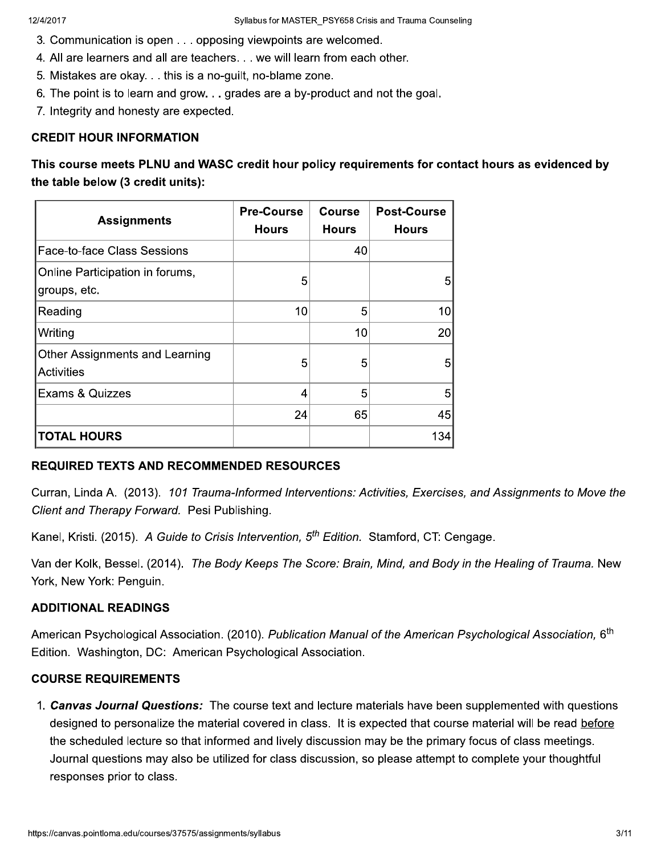- 3. Communication is open . . . opposing viewpoints are welcomed.
- 4. All are learners and all are teachers. . . we will learn from each other.
- 5. Mistakes are okay. . . this is a no-guilt, no-blame zone.
- 6. The point is to learn and grow. . . grades are a by-product and not the goal.
- 7. Integrity and honesty are expected.

#### **CREDIT HOUR INFORMATION**

This course meets PLNU and WASC credit hour policy requirements for contact hours as evidenced by the table below (3 credit units):

| <b>Assignments</b>                                  | <b>Pre-Course</b><br><b>Hours</b> | <b>Course</b><br><b>Hours</b> | <b>Post-Course</b><br><b>Hours</b> |
|-----------------------------------------------------|-----------------------------------|-------------------------------|------------------------------------|
| Face-to-face Class Sessions                         |                                   | 40                            |                                    |
| Online Participation in forums,<br>groups, etc.     | 5                                 |                               | 5                                  |
| Reading                                             | 10                                | 5                             | 10 <sup>1</sup>                    |
| Writing                                             |                                   | 10                            | 20 <sup>1</sup>                    |
| Other Assignments and Learning<br><b>Activities</b> | 5                                 | 5                             | 5                                  |
| <b>Exams &amp; Quizzes</b>                          | 4                                 | 5                             | 5                                  |
|                                                     | 24                                | 65                            | 45                                 |
| <b>TOTAL HOURS</b>                                  |                                   |                               | 134                                |

# **REQUIRED TEXTS AND RECOMMENDED RESOURCES**

Curran, Linda A. (2013). 101 Trauma-Informed Interventions: Activities, Exercises, and Assignments to Move the Client and Therapy Forward. Pesi Publishing.

Kanel, Kristi. (2015). A Guide to Crisis Intervention, 5<sup>th</sup> Edition. Stamford, CT: Cengage.

Van der Kolk, Bessel. (2014). The Body Keeps The Score: Brain, Mind, and Body in the Healing of Trauma. New York, New York: Penguin.

# **ADDITIONAL READINGS**

American Psychological Association. (2010). Publication Manual of the American Psychological Association, 6<sup>th</sup> Edition. Washington, DC: American Psychological Association.

#### **COURSE REQUIREMENTS**

1. Canvas Journal Questions: The course text and lecture materials have been supplemented with questions designed to personalize the material covered in class. It is expected that course material will be read before the scheduled lecture so that informed and lively discussion may be the primary focus of class meetings. Journal questions may also be utilized for class discussion, so please attempt to complete your thoughtful responses prior to class.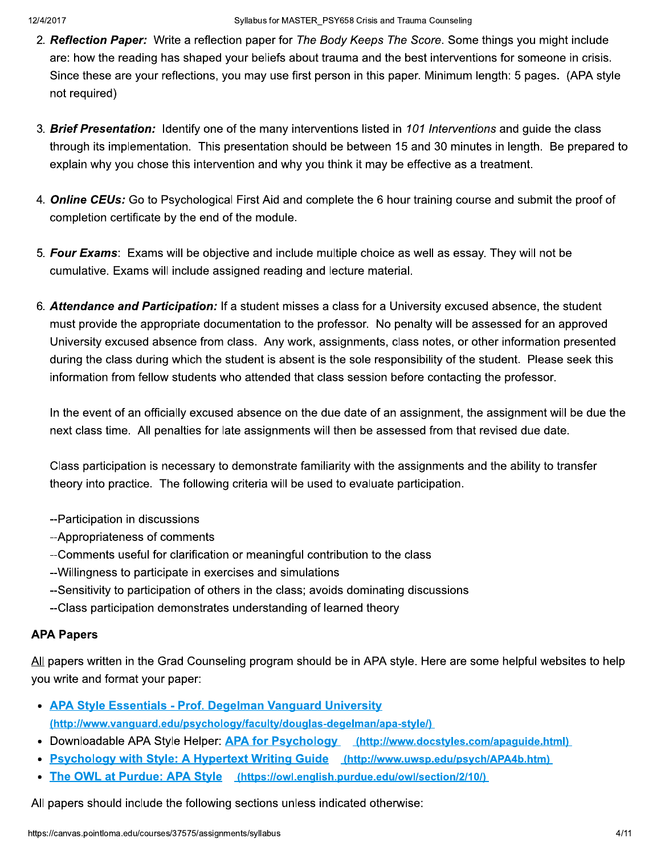- 2. Reflection Paper: Write a reflection paper for The Body Keeps The Score. Some things you might include are: how the reading has shaped your beliefs about trauma and the best interventions for someone in crisis. Since these are your reflections, you may use first person in this paper. Minimum length: 5 pages. (APA style not required)
- 3. **Brief Presentation:** Identify one of the many interventions listed in 101 Interventions and guide the class through its implementation. This presentation should be between 15 and 30 minutes in length. Be prepared to explain why you chose this intervention and why you think it may be effective as a treatment.
- 4. **Online CEUs:** Go to Psychological First Aid and complete the 6 hour training course and submit the proof of completion certificate by the end of the module.
- 5. Four Exams: Exams will be objective and include multiple choice as well as essay. They will not be cumulative. Exams will include assigned reading and lecture material.
- 6. Attendance and Participation: If a student misses a class for a University excused absence, the student must provide the appropriate documentation to the professor. No penalty will be assessed for an approved University excused absence from class. Any work, assignments, class notes, or other information presented during the class during which the student is absent is the sole responsibility of the student. Please seek this information from fellow students who attended that class session before contacting the professor.

In the event of an officially excused absence on the due date of an assignment, the assignment will be due the next class time. All penalties for late assignments will then be assessed from that revised due date.

Class participation is necessary to demonstrate familiarity with the assignments and the ability to transfer theory into practice. The following criteria will be used to evaluate participation.

- --Participation in discussions
- --Appropriateness of comments
- --Comments useful for clarification or meaningful contribution to the class
- --Willingness to participate in exercises and simulations
- --Sensitivity to participation of others in the class; avoids dominating discussions
- --Class participation demonstrates understanding of learned theory

# **APA Papers**

All papers written in the Grad Counseling program should be in APA style. Here are some helpful websites to help you write and format your paper:

- APA Style Essentials Prof. Degelman Vanguard University (http://www.vanguard.edu/psychology/faculty/douglas-degelman/apa-style/)
- Downloadable APA Style Helper: APA for Psychology (http://www.docstyles.com/apaguide.html)
- Psychology with Style: A Hypertext Writing Guide (http://www.uwsp.edu/psych/APA4b.htm)
- The OWL at Purdue: APA Style (https://owl.english.purdue.edu/owl/section/2/10/)  $\bullet$

All papers should include the following sections unless indicated otherwise: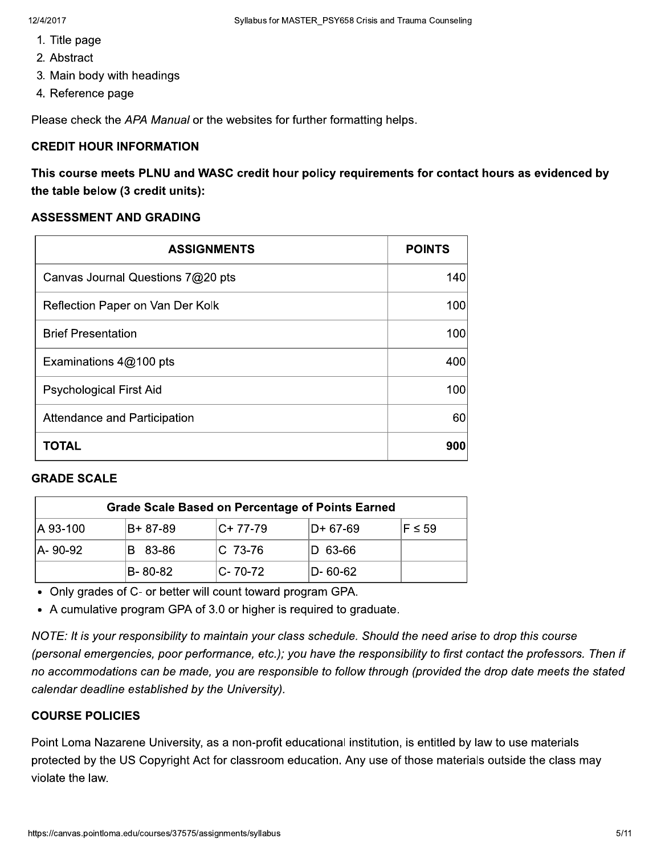- 1. Title page
- 2. Abstract
- 3. Main body with headings
- 4. Reference page

Please check the APA Manual or the websites for further formatting helps.

#### **CREDIT HOUR INFORMATION**

This course meets PLNU and WASC credit hour policy requirements for contact hours as evidenced by the table below (3 credit units):

#### **ASSESSMENT AND GRADING**

| <b>ASSIGNMENTS</b>                | <b>POINTS</b> |
|-----------------------------------|---------------|
| Canvas Journal Questions 7@20 pts | 140           |
| Reflection Paper on Van Der Kolk  | 100           |
| <b>Brief Presentation</b>         | 100           |
| Examinations 4@100 pts            | 400           |
| <b>Psychological First Aid</b>    | 100           |
| Attendance and Participation      | 60            |
| TOTAL                             | 900           |

#### **GRADE SCALE**

|           | <b>Grade Scale Based on Percentage of Points Earned</b> |              |          |             |
|-----------|---------------------------------------------------------|--------------|----------|-------------|
| A 93-100  | IB+ 87-89                                               | $ C+ 77-79 $ | D+ 67-69 | $F \leq 59$ |
| IA- 90-92 | B 83-86                                                 | IC 73-76     | D 63-66  |             |
|           | IB-80-82                                                | IC- 70-72    | D-60-62  |             |

Only grades of C- or better will count toward program GPA.  $\,$ 

A cumulative program GPA of 3.0 or higher is required to graduate.  $\,$ 

NOTE: It is your responsibility to maintain your class schedule. Should the need arise to drop this course (personal emergencies, poor performance, etc.); you have the responsibility to first contact the professors. Then if no accommodations can be made, you are responsible to follow through (provided the drop date meets the stated calendar deadline established by the University).

# **COURSE POLICIES**

protected by the US<br>violate the law.<br>https://canvas.pointloma.ed Point Loma Nazarene University, as a non-profit equcational institution, is entitled by law to use materials i protected by the US Copyright Act for classroom education. Any use of those materials outside the class may violate the law.  $\blacksquare$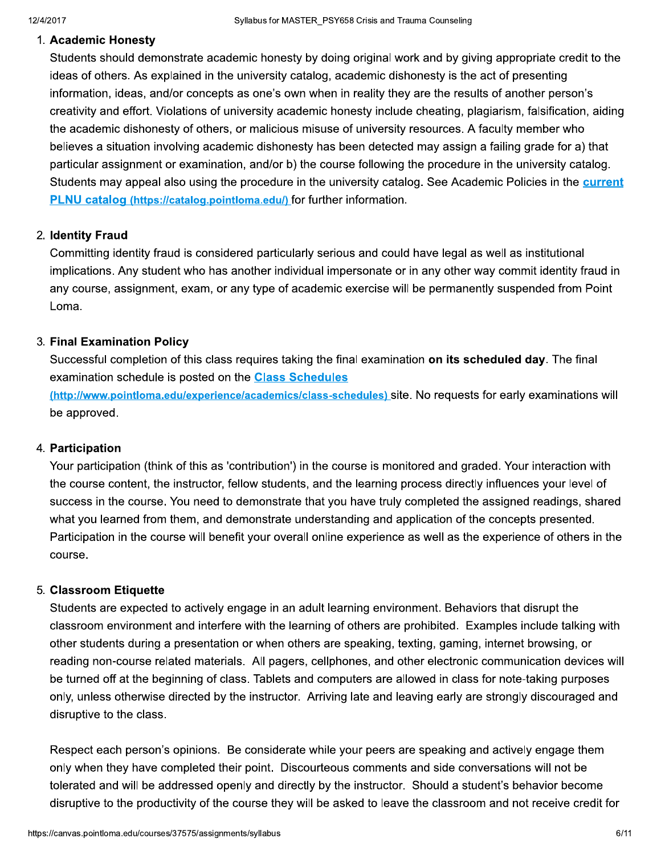#### 1. Academic Honesty

Students should demonstrate academic honesty by doing original work and by giving appropriate credit to the ideas of others. As explained in the university catalog, academic dishonesty is the act of presenting information, ideas, and/or concepts as one's own when in reality they are the results of another person's creativity and effort. Violations of university academic honesty include cheating, plagiarism, falsification, aiding the academic dishonesty of others, or malicious misuse of university resources. A faculty member who believes a situation involving academic dishonesty has been detected may assign a failing grade for a) that particular assignment or examination, and/or b) the course following the procedure in the university catalog. Students may appeal also using the procedure in the university catalog. See Academic Policies in the current PLNU catalog (https://catalog.pointloma.edu/) for further information.

# 2. Identity Fraud

Committing identity fraud is considered particularly serious and could have legal as well as institutional implications. Any student who has another individual impersonate or in any other way commit identity fraud in any course, assignment, exam, or any type of academic exercise will be permanently suspended from Point Loma.

# 3. Final Examination Policy

Successful completion of this class requires taking the final examination on its scheduled day. The final examination schedule is posted on the **Class Schedules** 

(http://www.pointloma.edu/experience/academics/class-schedules) site. No requests for early examinations will be approved.

#### 4. Participation

Your participation (think of this as 'contribution') in the course is monitored and graded. Your interaction with the course content, the instructor, fellow students, and the learning process directly influences your level of success in the course. You need to demonstrate that you have truly completed the assigned readings, shared what vou learned from them, and demonstrate understanding and application of the concepts presented. Participation in the course will benefit your overall online experience as well as the experience of others in the course.

# 5. Classroom Etiquette

Students are expected to actively engage in an adult learning environment. Behaviors that disrupt the classroom environment and interfere with the learning of others are prohibited. Examples include talking with other students during a presentation or when others are speaking, texting, gaming, internet browsing, or reading non-course related materials. All pagers, cellphones, and other electronic communication devices will be turned off at the beginning of class. Tablets and computers are allowed in class for note-taking purposes only, unless otherwise directed by the instructor. Arriving late and leaving early are strongly discouraged and disruptive to the class.

Respect each person's opinions. Be considerate while your peers are speaking and actively engage them only when they have completed their point. Discourteous comments and side conversations will not be tolerated and will be addressed openly and directly by the instructor. Should a student's behavior become disruptive to the productivity of the course they will be asked to leave the classroom and not receive credit for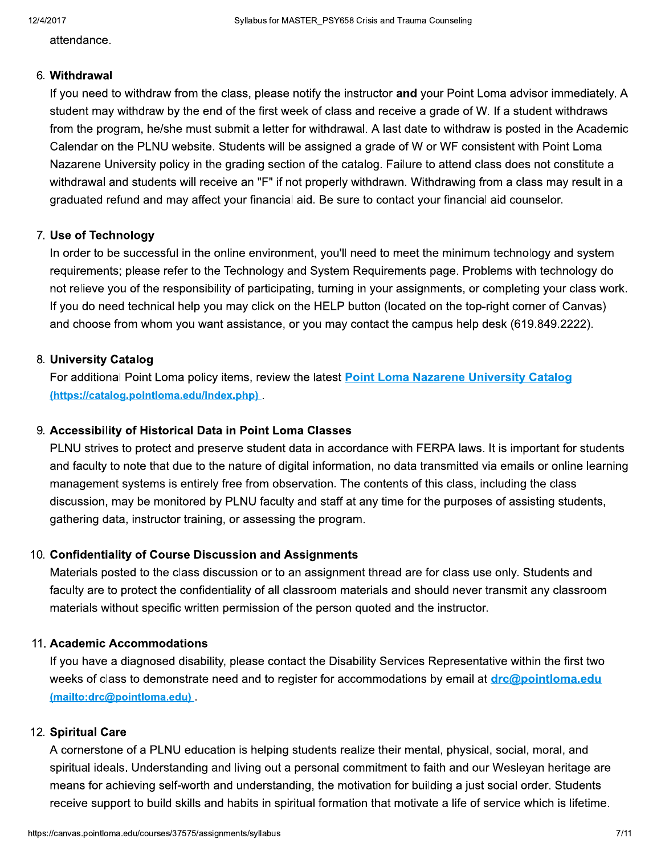attendance.

#### 6. Withdrawal

If you need to withdraw from the class, please notify the instructor and your Point Loma advisor immediately. A student may withdraw by the end of the first week of class and receive a grade of W. If a student withdraws from the program, he/she must submit a letter for withdrawal. A last date to withdraw is posted in the Academic Calendar on the PLNU website. Students will be assigned a grade of W or WF consistent with Point Loma Nazarene University policy in the grading section of the catalog. Failure to attend class does not constitute a withdrawal and students will receive an "F" if not properly withdrawn. Withdrawing from a class may result in a graduated refund and may affect your financial aid. Be sure to contact your financial aid counselor.

# 7. Use of Technology

In order to be successful in the online environment, you'll need to meet the minimum technology and system requirements; please refer to the Technology and System Requirements page. Problems with technology do not relieve you of the responsibility of participating, turning in your assignments, or completing your class work. If you do need technical help you may click on the HELP button (located on the top-right corner of Canvas) and choose from whom you want assistance, or you may contact the campus help desk (619.849.2222).

# 8. University Catalog

For additional Point Loma policy items, review the latest Point Loma Nazarene University Catalog (https://catalog.pointloma.edu/index.php).

# 9. Accessibility of Historical Data in Point Loma Classes

PLNU strives to protect and preserve student data in accordance with FERPA laws. It is important for students and faculty to note that due to the nature of digital information, no data transmitted via emails or online learning management systems is entirely free from observation. The contents of this class, including the class discussion, may be monitored by PLNU faculty and staff at any time for the purposes of assisting students, gathering data, instructor training, or assessing the program.

# 10. Confidentiality of Course Discussion and Assignments

Materials posted to the class discussion or to an assignment thread are for class use only. Students and faculty are to protect the confidentiality of all classroom materials and should never transmit any classroom materials without specific written permission of the person quoted and the instructor.

# 11. Academic Accommodations

If you have a diagnosed disability, please contact the Disability Services Representative within the first two weeks of class to demonstrate need and to register for accommodations by email at **drc@pointloma.edu** (mailto:drc@pointloma.edu)

# 12. Spiritual Care

A cornerstone of a PLNU education is helping students realize their mental, physical, social, moral, and spiritual ideals. Understanding and living out a personal commitment to faith and our Wesleyan heritage are means for achieving self-worth and understanding, the motivation for building a just social order. Students receive support to build skills and habits in spiritual formation that motivate a life of service which is lifetime.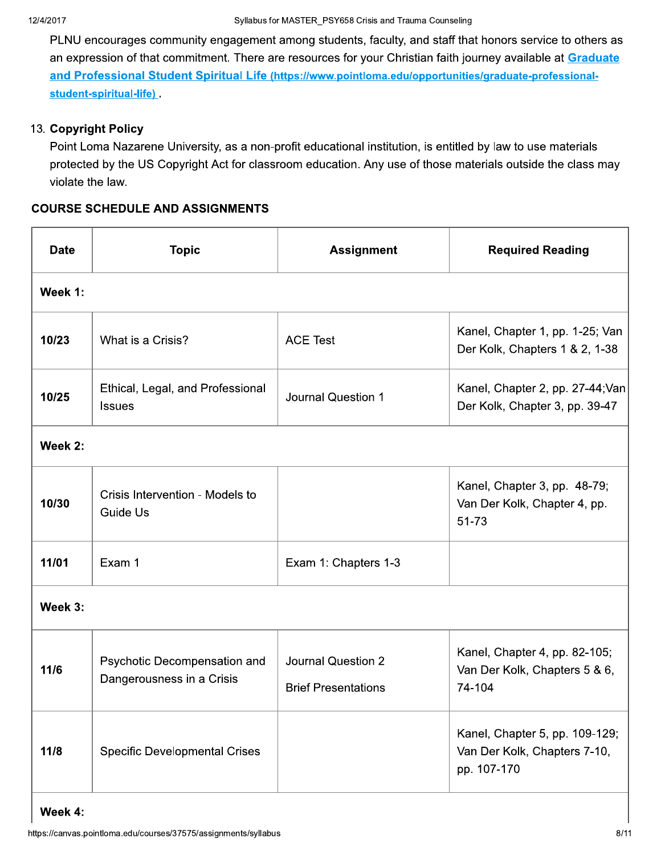PLNU encourages community engagement among students, faculty, and staff that honors service to others as an expression of that commitment. There are resources for your Christian faith journey available at Graduate and Professional Student Spiritual Life (https://www.pointloma.edu/opportunities/graduate-professionalstudent-spiritual-life)

# 13. Copyright Policy

Point Loma Nazarene University, as a non-profit educational institution, is entitled by law to use materials protected by the US Copyright Act for classroom education. Any use of those materials outside the class may violate the law.

# **COURSE SCHEDULE AND ASSIGNMENTS**

| <b>Date</b> | <b>Topic</b>                                              | <b>Assignment</b>                                | <b>Required Reading</b>                                                       |
|-------------|-----------------------------------------------------------|--------------------------------------------------|-------------------------------------------------------------------------------|
| Week 1:     |                                                           |                                                  |                                                                               |
| 10/23       | What is a Crisis?                                         | <b>ACE Test</b>                                  | Kanel, Chapter 1, pp. 1-25; Van<br>Der Kolk, Chapters 1 & 2, 1-38             |
| 10/25       | Ethical, Legal, and Professional<br><b>Issues</b>         | <b>Journal Question 1</b>                        | Kanel, Chapter 2, pp. 27-44; Van<br>Der Kolk, Chapter 3, pp. 39-47            |
| Week 2:     |                                                           |                                                  |                                                                               |
| 10/30       | Crisis Intervention - Models to<br><b>Guide Us</b>        |                                                  | Kanel, Chapter 3, pp. 48-79;<br>Van Der Kolk, Chapter 4, pp.<br>51-73         |
| 11/01       | Exam 1                                                    | Exam 1: Chapters 1-3                             |                                                                               |
| Week 3:     |                                                           |                                                  |                                                                               |
| 11/6        | Psychotic Decompensation and<br>Dangerousness in a Crisis | Journal Question 2<br><b>Brief Presentations</b> | Kanel, Chapter 4, pp. 82-105;<br>Van Der Kolk, Chapters 5 & 6,<br>74-104      |
| 11/8        | <b>Specific Developmental Crises</b>                      |                                                  | Kanel, Chapter 5, pp. 109-129;<br>Van Der Kolk, Chapters 7-10,<br>pp. 107-170 |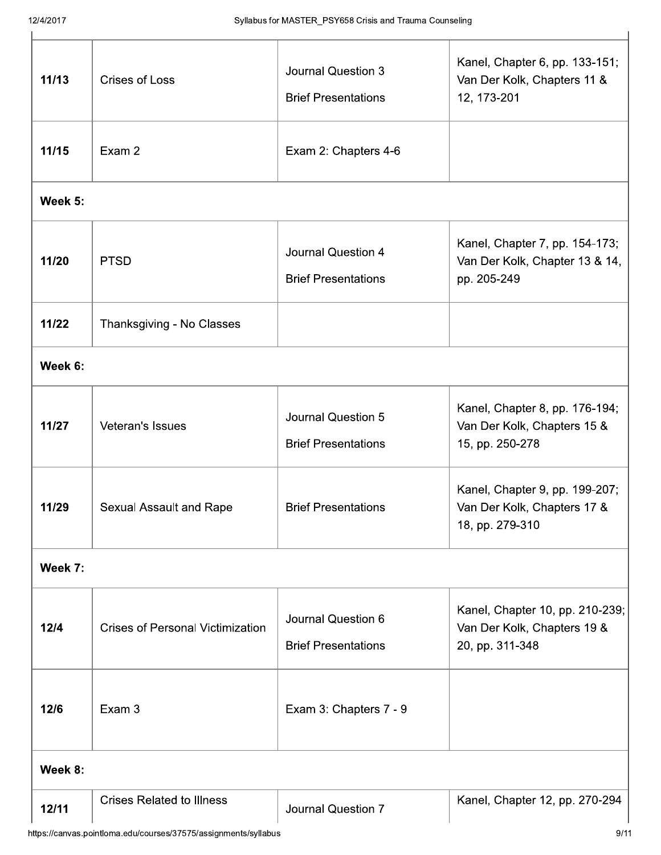| 11/13   | <b>Crises of Loss</b>                   | Journal Question 3<br><b>Brief Presentations</b>        | Kanel, Chapter 6, pp. 133-151;<br>Van Der Kolk, Chapters 11 &<br>12, 173-201      |
|---------|-----------------------------------------|---------------------------------------------------------|-----------------------------------------------------------------------------------|
| 11/15   | Exam 2                                  | Exam 2: Chapters 4-6                                    |                                                                                   |
| Week 5: |                                         |                                                         |                                                                                   |
| 11/20   | <b>PTSD</b>                             | Journal Question 4<br><b>Brief Presentations</b>        | Kanel, Chapter 7, pp. 154-173;<br>Van Der Kolk, Chapter 13 & 14,<br>pp. 205-249   |
| 11/22   | Thanksgiving - No Classes               |                                                         |                                                                                   |
| Week 6: |                                         |                                                         |                                                                                   |
| 11/27   | Veteran's Issues                        | <b>Journal Question 5</b><br><b>Brief Presentations</b> | Kanel, Chapter 8, pp. 176-194;<br>Van Der Kolk, Chapters 15 &<br>15, pp. 250-278  |
| 11/29   | Sexual Assault and Rape                 | <b>Brief Presentations</b>                              | Kanel, Chapter 9, pp. 199-207;<br>Van Der Kolk, Chapters 17 &<br>18, pp. 279-310  |
| Week 7: |                                         |                                                         |                                                                                   |
| 12/4    | <b>Crises of Personal Victimization</b> | Journal Question 6<br><b>Brief Presentations</b>        | Kanel, Chapter 10, pp. 210-239;<br>Van Der Kolk, Chapters 19 &<br>20, pp. 311-348 |
| 12/6    | Exam 3                                  | Exam 3: Chapters 7 - 9                                  |                                                                                   |
| Week 8: |                                         |                                                         |                                                                                   |
| 12/11   | <b>Crises Related to Illness</b>        | Journal Question 7                                      | Kanel, Chapter 12, pp. 270-294                                                    |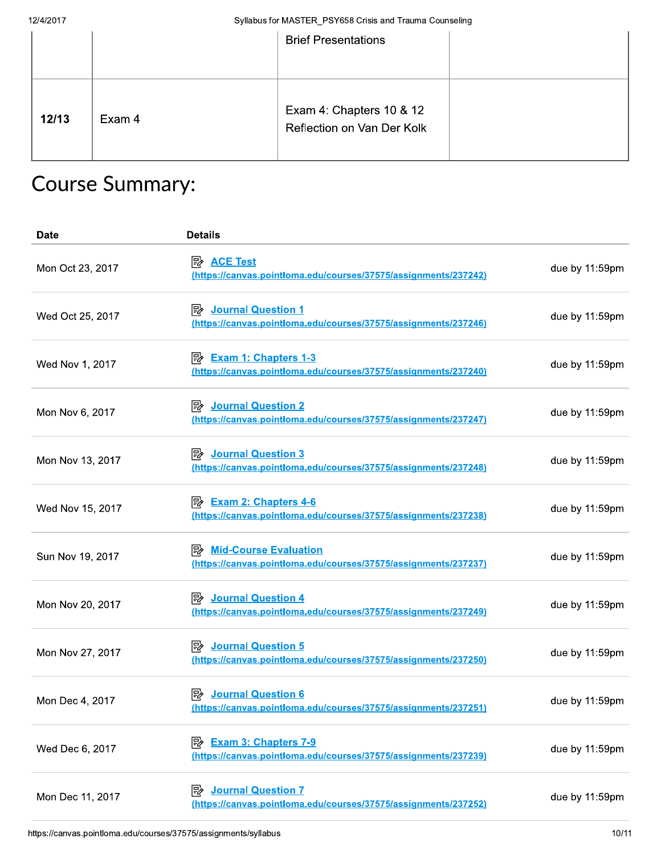| 12/4/2017 |                        | Syllabus for MASTER_PSY658 Crisis and Trauma Counseling |  |
|-----------|------------------------|---------------------------------------------------------|--|
|           |                        | <b>Brief Presentations</b>                              |  |
| 12/13     | Exam 4                 | Exam 4: Chapters 10 & 12<br>Reflection on Van Der Kolk  |  |
|           | <b>Course Summary:</b> |                                                         |  |

# Course Summary:

| <b>Date</b>      | <b>Details</b>                                                                                             |                |
|------------------|------------------------------------------------------------------------------------------------------------|----------------|
| Mon Oct 23, 2017 | <b>ACE Test</b><br>暨<br>(https://canvas.pointloma.edu/courses/37575/assignments/237242)                    | due by 11:59pm |
| Wed Oct 25, 2017 | <b>Journal Question 1</b><br> ≅⁄<br>(https://canvas.pointloma.edu/courses/37575/assignments/237246)        | due by 11:59pm |
| Wed Nov 1, 2017  | <b>Exam 1: Chapters 1-3</b><br>零<br>(https://canvas.pointloma.edu/courses/37575/assignments/237240)        | due by 11:59pm |
| Mon Nov 6, 2017  | <b>Journal Question 2</b><br>歐<br>(https://canvas.pointloma.edu/courses/37575/assignments/237247)          | due by 11:59pm |
| Mon Nov 13, 2017 | <b>Journal Question 3</b><br>零<br>(https://canvas.pointloma.edu/courses/37575/assignments/237248)          | due by 11:59pm |
| Wed Nov 15, 2017 | <u> <sub>Exam</sub> 2: Chapters 4-6</u><br>(https://canvas.pointloma.edu/courses/37575/assignments/237238) | due by 11:59pm |
| Sun Nov 19, 2017 | <b>Mid-Course Evaluation</b><br>駗<br>(https://canvas.pointloma.edu/courses/37575/assignments/237237)       | due by 11:59pm |
| Mon Nov 20, 2017 | 國<br><b>Journal Question 4</b><br>(https://canvas.pointloma.edu/courses/37575/assignments/237249)          | due by 11:59pm |
| Mon Nov 27, 2017 | <b>Journal Question 5</b><br> 診<br>(https://canvas.pointloma.edu/courses/37575/assignments/237250)         | due by 11:59pm |
| Mon Dec 4, 2017  | <b>Journal Question 6</b><br>國<br>(https://canvas.pointloma.edu/courses/37575/assignments/237251)          | due by 11:59pm |
| Wed Dec 6, 2017  | <b>Exam 3: Chapters 7-9</b><br> ≋⁄<br>(https://canvas.pointloma.edu/courses/37575/assignments/237239)      | due by 11:59pm |
| Mon Dec 11, 2017 | <b>Journal Question 7</b><br>歐<br>(https://canvas.pointloma.edu/courses/37575/assignments/237252)          | due by 11:59pm |
|                  | https://canvas.pointloma.edu/courses/37575/assignments/syllabus                                            | 10/11          |